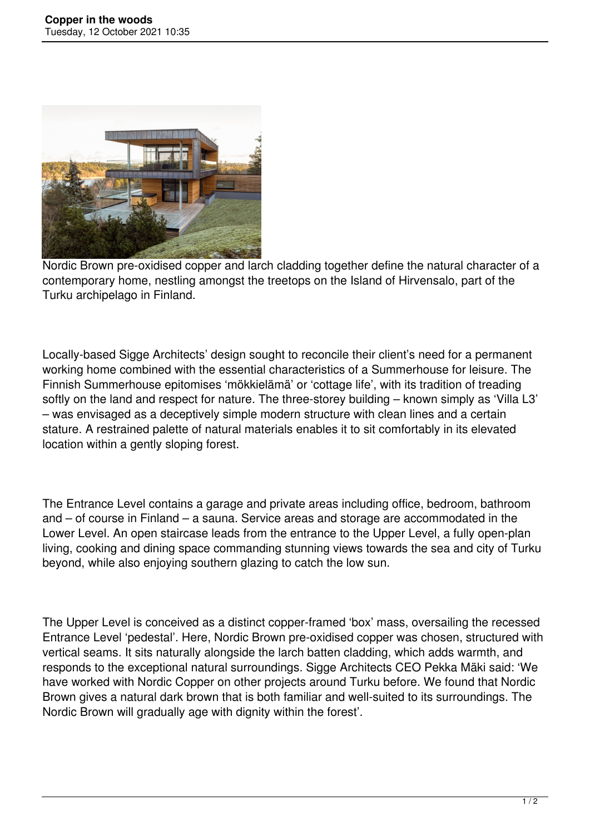

Nordic Brown pre-oxidised copper and larch cladding together define the natural character of a contemporary home, nestling amongst the treetops on the Island of Hirvensalo, part of the Turku archipelago in Finland.

Locally-based Sigge Architects' design sought to reconcile their client's need for a permanent working home combined with the essential characteristics of a Summerhouse for leisure. The Finnish Summerhouse epitomises 'mökkielämä' or 'cottage life', with its tradition of treading softly on the land and respect for nature. The three-storey building – known simply as 'Villa L3' – was envisaged as a deceptively simple modern structure with clean lines and a certain stature. A restrained palette of natural materials enables it to sit comfortably in its elevated location within a gently sloping forest.

The Entrance Level contains a garage and private areas including office, bedroom, bathroom and – of course in Finland – a sauna. Service areas and storage are accommodated in the Lower Level. An open staircase leads from the entrance to the Upper Level, a fully open-plan living, cooking and dining space commanding stunning views towards the sea and city of Turku beyond, while also enjoying southern glazing to catch the low sun.

The Upper Level is conceived as a distinct copper-framed 'box' mass, oversailing the recessed Entrance Level 'pedestal'. Here, Nordic Brown pre-oxidised copper was chosen, structured with vertical seams. It sits naturally alongside the larch batten cladding, which adds warmth, and responds to the exceptional natural surroundings. Sigge Architects CEO Pekka Mäki said: 'We have worked with Nordic Copper on other projects around Turku before. We found that Nordic Brown gives a natural dark brown that is both familiar and well-suited to its surroundings. The Nordic Brown will gradually age with dignity within the forest'.